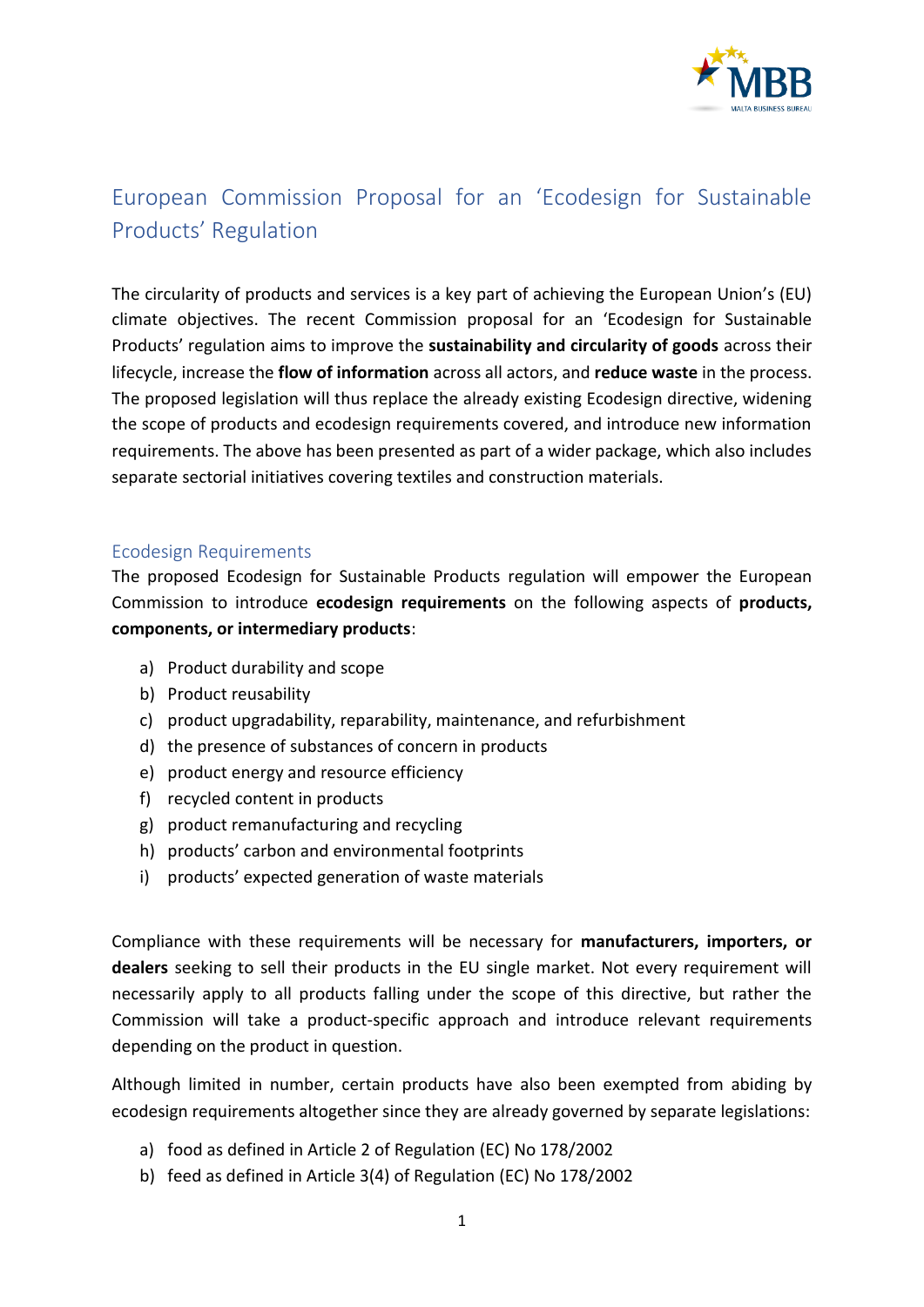

## European Commission Proposal for an 'Ecodesign for Sustainable Products' Regulation

The circularity of products and services is a key part of achieving the European Union's (EU) climate objectives. The recent Commission proposal for an 'Ecodesign for Sustainable Products' regulation aims to improve the **sustainability and circularity of goods** across their lifecycle, increase the **flow of information** across all actors, and **reduce waste** in the process. The proposed legislation will thus replace the already existing Ecodesign directive, widening the scope of products and ecodesign requirements covered, and introduce new information requirements. The above has been presented as part of a wider package, which also includes separate sectorial initiatives covering textiles and construction materials.

## Ecodesign Requirements

The proposed Ecodesign for Sustainable Products regulation will empower the European Commission to introduce **ecodesign requirements** on the following aspects of **products, components, or intermediary products**:

- a) Product durability and scope
- b) Product reusability
- c) product upgradability, reparability, maintenance, and refurbishment
- d) the presence of substances of concern in products
- e) product energy and resource efficiency
- f) recycled content in products
- g) product remanufacturing and recycling
- h) products' carbon and environmental footprints
- i) products' expected generation of waste materials

Compliance with these requirements will be necessary for **manufacturers, importers, or dealers** seeking to sell their products in the EU single market. Not every requirement will necessarily apply to all products falling under the scope of this directive, but rather the Commission will take a product-specific approach and introduce relevant requirements depending on the product in question.

Although limited in number, certain products have also been exempted from abiding by ecodesign requirements altogether since they are already governed by separate legislations:

- a) food as defined in Article 2 of Regulation (EC) No 178/2002
- b) feed as defined in Article 3(4) of Regulation (EC) No 178/2002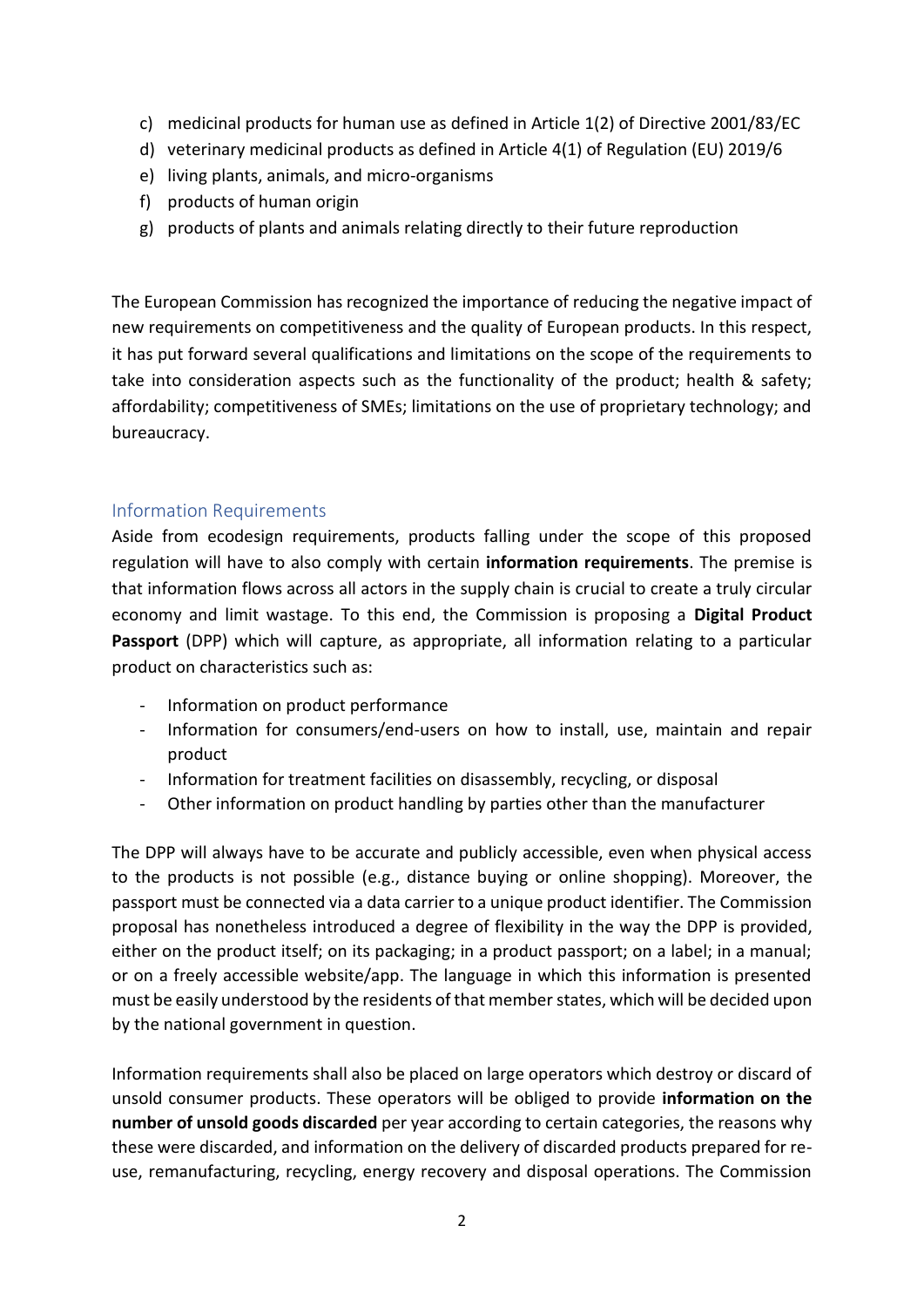- c) medicinal products for human use as defined in Article 1(2) of Directive 2001/83/EC
- d) veterinary medicinal products as defined in Article 4(1) of Regulation (EU) 2019/6
- e) living plants, animals, and micro-organisms
- f) products of human origin
- g) products of plants and animals relating directly to their future reproduction

The European Commission has recognized the importance of reducing the negative impact of new requirements on competitiveness and the quality of European products. In this respect, it has put forward several qualifications and limitations on the scope of the requirements to take into consideration aspects such as the functionality of the product; health & safety; affordability; competitiveness of SMEs; limitations on the use of proprietary technology; and bureaucracy.

## Information Requirements

Aside from ecodesign requirements, products falling under the scope of this proposed regulation will have to also comply with certain **information requirements**. The premise is that information flows across all actors in the supply chain is crucial to create a truly circular economy and limit wastage. To this end, the Commission is proposing a **Digital Product Passport** (DPP) which will capture, as appropriate, all information relating to a particular product on characteristics such as:

- Information on product performance
- Information for consumers/end-users on how to install, use, maintain and repair product
- Information for treatment facilities on disassembly, recycling, or disposal
- Other information on product handling by parties other than the manufacturer

The DPP will always have to be accurate and publicly accessible, even when physical access to the products is not possible (e.g., distance buying or online shopping). Moreover, the passport must be connected via a data carrier to a unique product identifier. The Commission proposal has nonetheless introduced a degree of flexibility in the way the DPP is provided, either on the product itself; on its packaging; in a product passport; on a label; in a manual; or on a freely accessible website/app. The language in which this information is presented must be easily understood by the residents of that member states, which will be decided upon by the national government in question.

Information requirements shall also be placed on large operators which destroy or discard of unsold consumer products. These operators will be obliged to provide **information on the number of unsold goods discarded** per year according to certain categories, the reasons why these were discarded, and information on the delivery of discarded products prepared for reuse, remanufacturing, recycling, energy recovery and disposal operations. The Commission